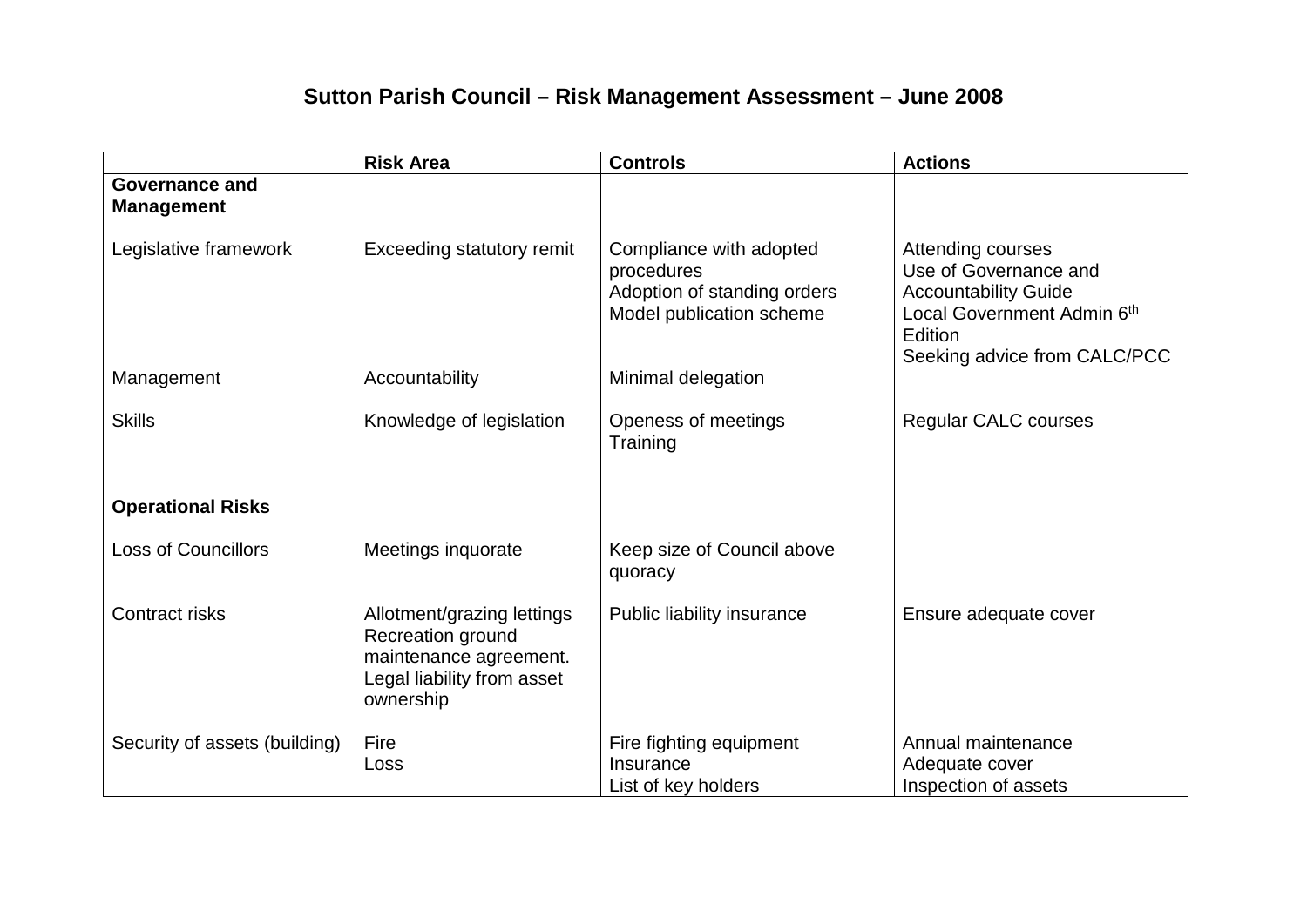## **Sutton Parish Council – Risk Management Assessment – June 2008**

|                                            | <b>Risk Area</b>                                                                                                     | <b>Controls</b>                                                                                  | <b>Actions</b>                                                                                                                                     |
|--------------------------------------------|----------------------------------------------------------------------------------------------------------------------|--------------------------------------------------------------------------------------------------|----------------------------------------------------------------------------------------------------------------------------------------------------|
| <b>Governance and</b><br><b>Management</b> |                                                                                                                      |                                                                                                  |                                                                                                                                                    |
| Legislative framework                      | <b>Exceeding statutory remit</b>                                                                                     | Compliance with adopted<br>procedures<br>Adoption of standing orders<br>Model publication scheme | Attending courses<br>Use of Governance and<br><b>Accountability Guide</b><br>Local Government Admin 6th<br>Edition<br>Seeking advice from CALC/PCC |
| Management                                 | Accountability                                                                                                       | Minimal delegation                                                                               |                                                                                                                                                    |
| <b>Skills</b>                              | Knowledge of legislation                                                                                             | Openess of meetings<br>Training                                                                  | <b>Regular CALC courses</b>                                                                                                                        |
| <b>Operational Risks</b>                   |                                                                                                                      |                                                                                                  |                                                                                                                                                    |
| <b>Loss of Councillors</b>                 | Meetings inquorate                                                                                                   | Keep size of Council above<br>quoracy                                                            |                                                                                                                                                    |
| <b>Contract risks</b>                      | Allotment/grazing lettings<br>Recreation ground<br>maintenance agreement.<br>Legal liability from asset<br>ownership | Public liability insurance                                                                       | Ensure adequate cover                                                                                                                              |
| Security of assets (building)              | Fire<br>Loss                                                                                                         | Fire fighting equipment<br>Insurance<br>List of key holders                                      | Annual maintenance<br>Adequate cover<br>Inspection of assets                                                                                       |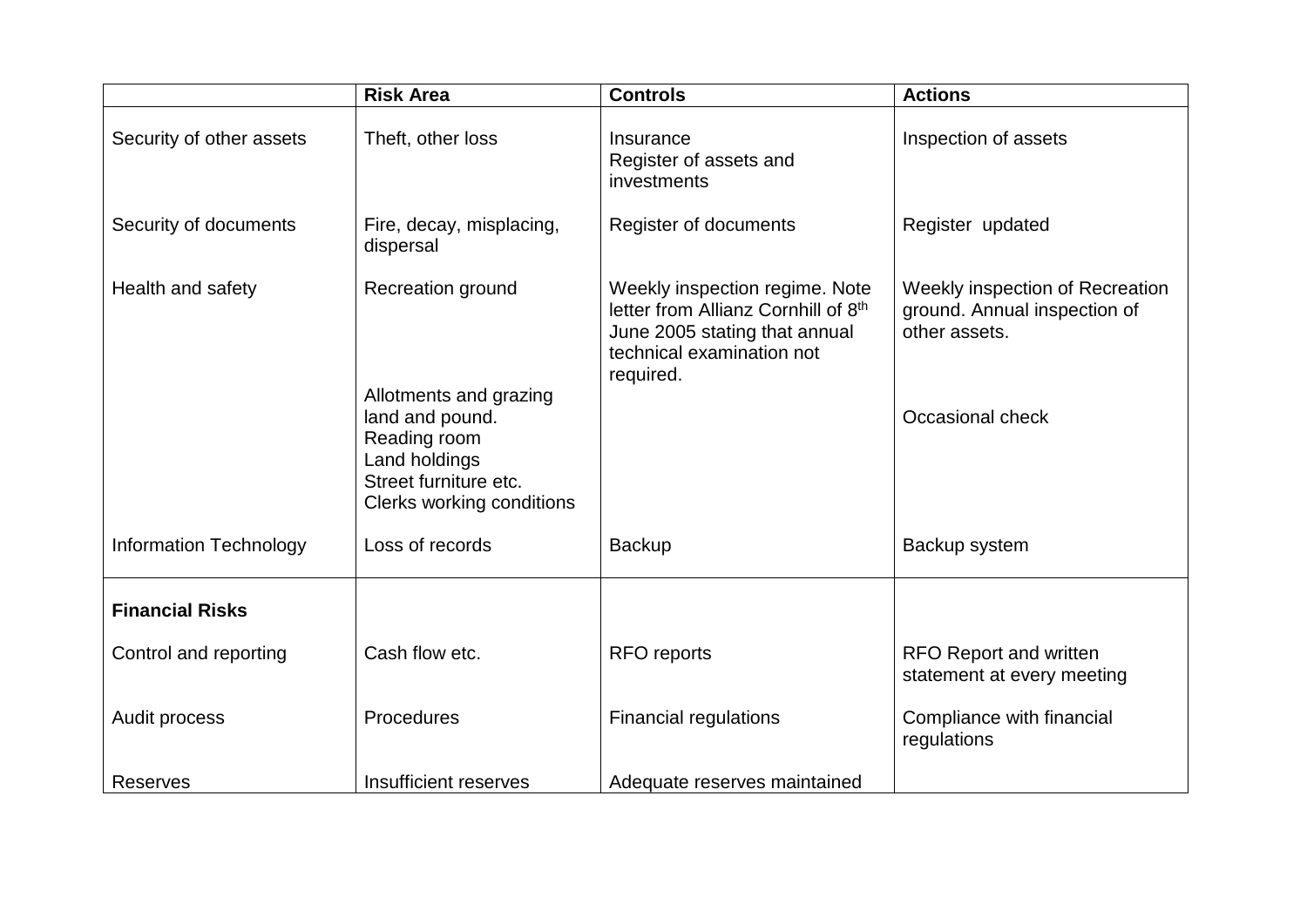|                               | <b>Risk Area</b>                                                                                                                 | <b>Controls</b>                                                                                                                                  | <b>Actions</b>                                                                   |
|-------------------------------|----------------------------------------------------------------------------------------------------------------------------------|--------------------------------------------------------------------------------------------------------------------------------------------------|----------------------------------------------------------------------------------|
| Security of other assets      | Theft, other loss                                                                                                                | Insurance<br>Register of assets and<br>investments                                                                                               | Inspection of assets                                                             |
| Security of documents         | Fire, decay, misplacing,<br>dispersal                                                                                            | Register of documents                                                                                                                            | Register updated                                                                 |
| Health and safety             | Recreation ground                                                                                                                | Weekly inspection regime. Note<br>letter from Allianz Cornhill of 8th<br>June 2005 stating that annual<br>technical examination not<br>required. | Weekly inspection of Recreation<br>ground. Annual inspection of<br>other assets. |
|                               | Allotments and grazing<br>land and pound.<br>Reading room<br>Land holdings<br>Street furniture etc.<br>Clerks working conditions |                                                                                                                                                  | Occasional check                                                                 |
| <b>Information Technology</b> | Loss of records                                                                                                                  | <b>Backup</b>                                                                                                                                    | Backup system                                                                    |
| <b>Financial Risks</b>        |                                                                                                                                  |                                                                                                                                                  |                                                                                  |
| Control and reporting         | Cash flow etc.                                                                                                                   | <b>RFO</b> reports                                                                                                                               | <b>RFO Report and written</b><br>statement at every meeting                      |
| Audit process                 | Procedures                                                                                                                       | <b>Financial regulations</b>                                                                                                                     | Compliance with financial<br>regulations                                         |
| <b>Reserves</b>               | Insufficient reserves                                                                                                            | Adequate reserves maintained                                                                                                                     |                                                                                  |